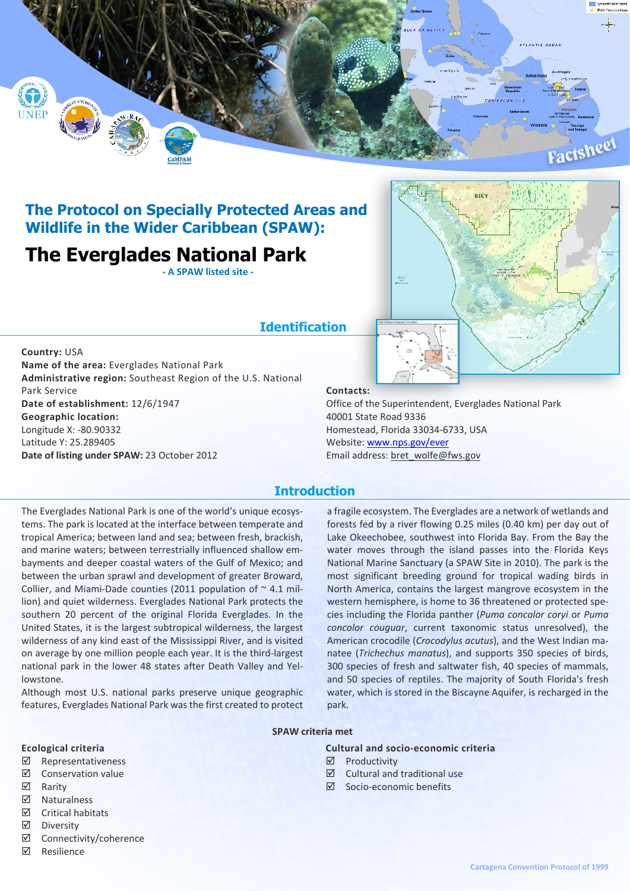

## **The Protocol on Specially Protected Areas and Wildlife in the Wider Caribbean (SPAW):**

# **The Everglades National Park**

**- A SPAW listed site -**

## **Identification**

**Country:** USA **Name of the area:** Everglades National Park **Administrative region:** Southeast Region of the U.S. National Park Service **Date of establishment:** 12/6/1947 **Geographic location:** Longitude X: -80.90332 Latitude Y: 25.289405 **Date of listing under SPAW:** 23 October 2012



#### **Contacts:**

Office of the Superintendent, Everglades National Park 40001 State Road 9336 Homestead, Florida 33034-6733, USA Website: www.nps.gov/ever Email address: bret\_wolfe@fws.gov

### **Introduction**

The Everglades National Park is one of the world's unique ecosystems. The park is located at the interface between temperate and tropical America; between land and sea; between fresh, brackish, and marine waters; between terrestrially influenced shallow embayments and deeper coastal waters of the Gulf of Mexico; and between the urban sprawl and development of greater Broward, Collier, and Miami-Dade counties (2011 population of  $\sim$  4.1 million) and quiet wilderness. Everglades National Park protects the southern 20 percent of the original Florida Everglades. In the United States, it is the largest subtropical wilderness, the largest wilderness of any kind east of the Mississippi River, and is visited on average by one million people each year. It is the third-largest national park in the lower 48 states after Death Valley and Yellowstone.

Although most U.S. national parks preserve unique geographic features, Everglades National Park was the first created to protect

a fragile ecosystem. The Everglades are a network of wetlands and forests fed by a river flowing 0.25 miles (0.40 km) per day out of Lake Okeechobee, southwest into Florida Bay. From the Bay the water moves through the island passes into the Florida Keys National Marine Sanctuary (a SPAW Site in 2010). The park is the most significant breeding ground for tropical wading birds in North America, contains the largest mangrove ecosystem in the western hemisphere, is home to 36 threatened or protected species including the Florida panther (*Puma concolor coryi* or *Puma concolor couguar*, current taxonomic status unresolved), the American crocodile (*Crocodylus acutus*), and the West Indian manatee (*Trichechus manatus*), and supports 350 species of birds, 300 species of fresh and saltwater fish, 40 species of mammals, and 50 species of reptiles. The majority of South Florida's fresh water, which is stored in the Biscayne Aquifer, is recharged in the park.

#### **SPAW criteria met**

#### **Ecological criteria**

- ˛ Representativeness
- ˛ Conservation value
- **☑** Rarity
- ˛ Naturalness
- $\boxtimes$  Critical habitats
- ˛ Diversity
- ˛ Connectivity/coherence
- ˛ Resilience

## ˛ Productivity

**Cultural and socio-economic criteria**

- $\boxtimes$  Cultural and traditional use
- $\boxtimes$  Socio-economic benefits